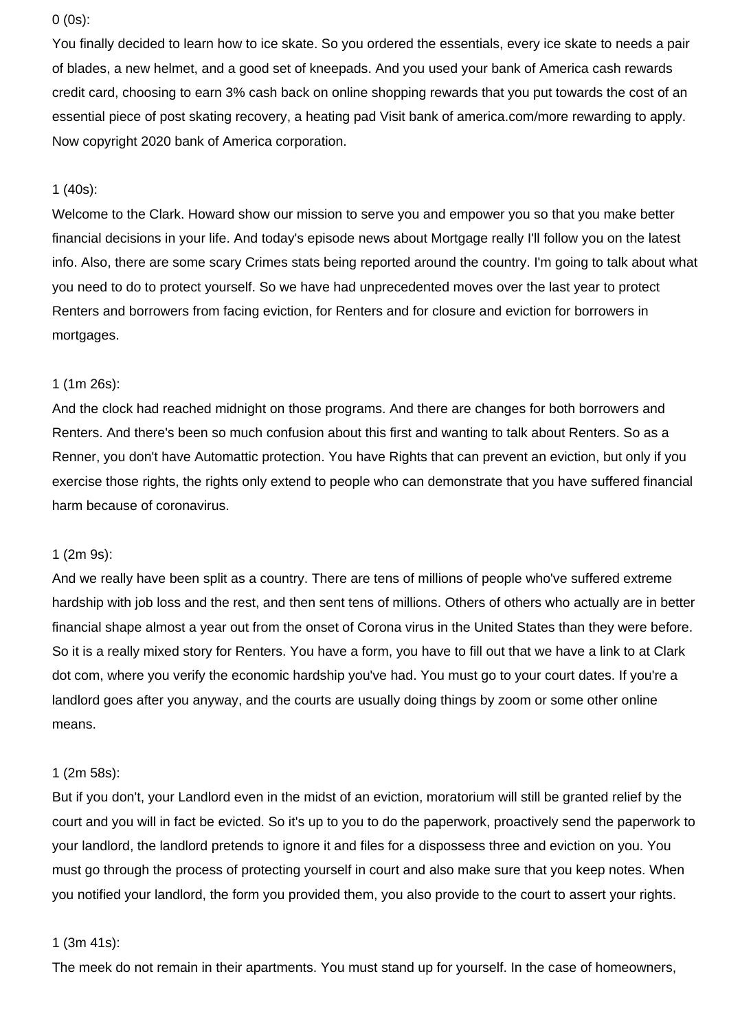## 0 (0s):

You finally decided to learn how to ice skate. So you ordered the essentials, every ice skate to needs a pair of blades, a new helmet, and a good set of kneepads. And you used your bank of America cash rewards credit card, choosing to earn 3% cash back on online shopping rewards that you put towards the cost of an essential piece of post skating recovery, a heating pad Visit bank of america.com/more rewarding to apply. Now copyright 2020 bank of America corporation.

# 1 (40s):

Welcome to the Clark. Howard show our mission to serve you and empower you so that you make better financial decisions in your life. And today's episode news about Mortgage really I'll follow you on the latest info. Also, there are some scary Crimes stats being reported around the country. I'm going to talk about what you need to do to protect yourself. So we have had unprecedented moves over the last year to protect Renters and borrowers from facing eviction, for Renters and for closure and eviction for borrowers in mortgages.

# 1 (1m 26s):

And the clock had reached midnight on those programs. And there are changes for both borrowers and Renters. And there's been so much confusion about this first and wanting to talk about Renters. So as a Renner, you don't have Automattic protection. You have Rights that can prevent an eviction, but only if you exercise those rights, the rights only extend to people who can demonstrate that you have suffered financial harm because of coronavirus.

# 1 (2m 9s):

And we really have been split as a country. There are tens of millions of people who've suffered extreme hardship with job loss and the rest, and then sent tens of millions. Others of others who actually are in better financial shape almost a year out from the onset of Corona virus in the United States than they were before. So it is a really mixed story for Renters. You have a form, you have to fill out that we have a link to at Clark dot com, where you verify the economic hardship you've had. You must go to your court dates. If you're a landlord goes after you anyway, and the courts are usually doing things by zoom or some other online means.

# 1 (2m 58s):

But if you don't, your Landlord even in the midst of an eviction, moratorium will still be granted relief by the court and you will in fact be evicted. So it's up to you to do the paperwork, proactively send the paperwork to your landlord, the landlord pretends to ignore it and files for a dispossess three and eviction on you. You must go through the process of protecting yourself in court and also make sure that you keep notes. When you notified your landlord, the form you provided them, you also provide to the court to assert your rights.

### 1 (3m 41s):

The meek do not remain in their apartments. You must stand up for yourself. In the case of homeowners,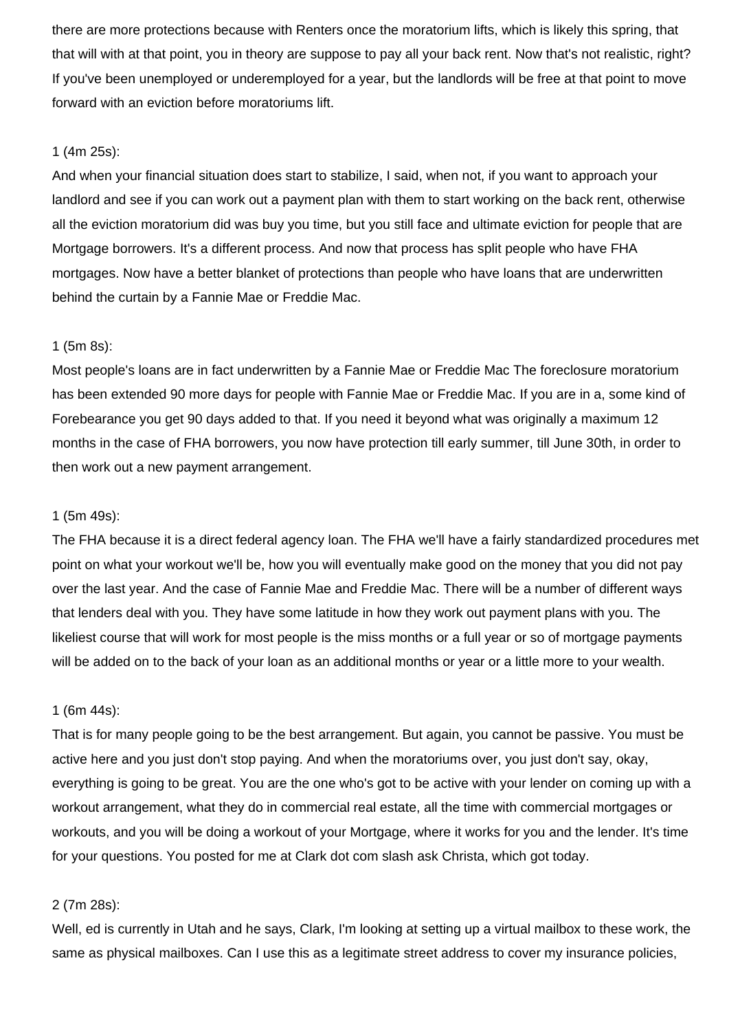there are more protections because with Renters once the moratorium lifts, which is likely this spring, that that will with at that point, you in theory are suppose to pay all your back rent. Now that's not realistic, right? If you've been unemployed or underemployed for a year, but the landlords will be free at that point to move forward with an eviction before moratoriums lift.

### 1 (4m 25s):

And when your financial situation does start to stabilize, I said, when not, if you want to approach your landlord and see if you can work out a payment plan with them to start working on the back rent, otherwise all the eviction moratorium did was buy you time, but you still face and ultimate eviction for people that are Mortgage borrowers. It's a different process. And now that process has split people who have FHA mortgages. Now have a better blanket of protections than people who have loans that are underwritten behind the curtain by a Fannie Mae or Freddie Mac.

### 1 (5m 8s):

Most people's loans are in fact underwritten by a Fannie Mae or Freddie Mac The foreclosure moratorium has been extended 90 more days for people with Fannie Mae or Freddie Mac. If you are in a, some kind of Forebearance you get 90 days added to that. If you need it beyond what was originally a maximum 12 months in the case of FHA borrowers, you now have protection till early summer, till June 30th, in order to then work out a new payment arrangement.

## 1 (5m 49s):

The FHA because it is a direct federal agency loan. The FHA we'll have a fairly standardized procedures met point on what your workout we'll be, how you will eventually make good on the money that you did not pay over the last year. And the case of Fannie Mae and Freddie Mac. There will be a number of different ways that lenders deal with you. They have some latitude in how they work out payment plans with you. The likeliest course that will work for most people is the miss months or a full year or so of mortgage payments will be added on to the back of your loan as an additional months or year or a little more to your wealth.

### 1 (6m 44s):

That is for many people going to be the best arrangement. But again, you cannot be passive. You must be active here and you just don't stop paying. And when the moratoriums over, you just don't say, okay, everything is going to be great. You are the one who's got to be active with your lender on coming up with a workout arrangement, what they do in commercial real estate, all the time with commercial mortgages or workouts, and you will be doing a workout of your Mortgage, where it works for you and the lender. It's time for your questions. You posted for me at Clark dot com slash ask Christa, which got today.

## 2 (7m 28s):

Well, ed is currently in Utah and he says, Clark, I'm looking at setting up a virtual mailbox to these work, the same as physical mailboxes. Can I use this as a legitimate street address to cover my insurance policies,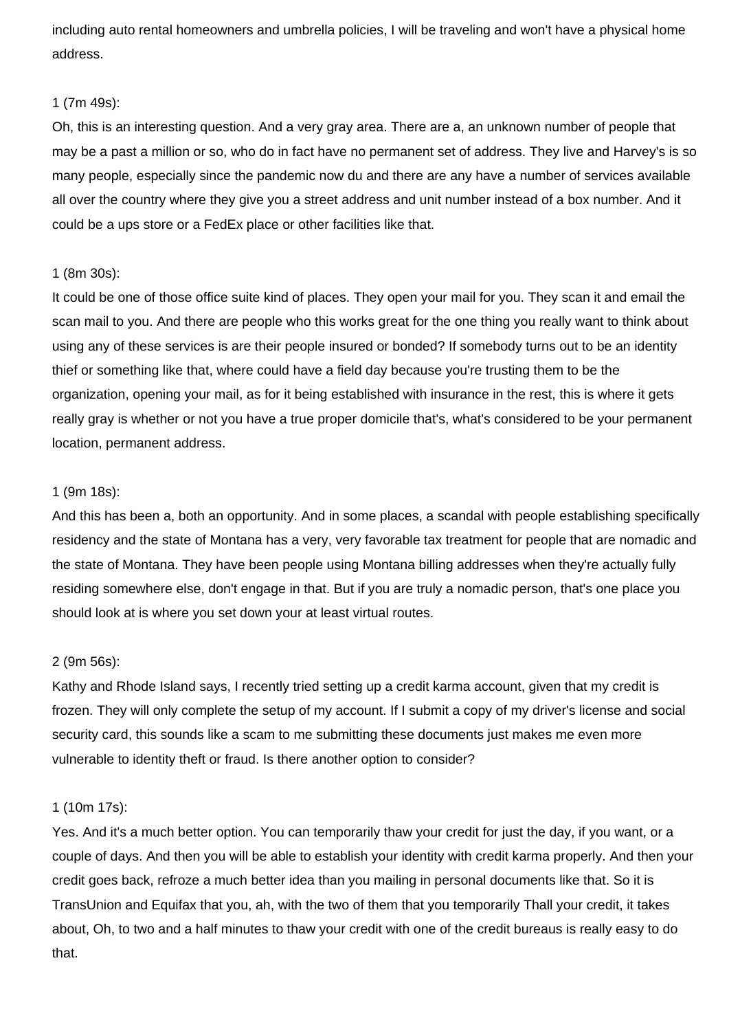including auto rental homeowners and umbrella policies, I will be traveling and won't have a physical home address.

# 1 (7m 49s):

Oh, this is an interesting question. And a very gray area. There are a, an unknown number of people that may be a past a million or so, who do in fact have no permanent set of address. They live and Harvey's is so many people, especially since the pandemic now du and there are any have a number of services available all over the country where they give you a street address and unit number instead of a box number. And it could be a ups store or a FedEx place or other facilities like that.

### 1 (8m 30s):

It could be one of those office suite kind of places. They open your mail for you. They scan it and email the scan mail to you. And there are people who this works great for the one thing you really want to think about using any of these services is are their people insured or bonded? If somebody turns out to be an identity thief or something like that, where could have a field day because you're trusting them to be the organization, opening your mail, as for it being established with insurance in the rest, this is where it gets really gray is whether or not you have a true proper domicile that's, what's considered to be your permanent location, permanent address.

## 1 (9m 18s):

And this has been a, both an opportunity. And in some places, a scandal with people establishing specifically residency and the state of Montana has a very, very favorable tax treatment for people that are nomadic and the state of Montana. They have been people using Montana billing addresses when they're actually fully residing somewhere else, don't engage in that. But if you are truly a nomadic person, that's one place you should look at is where you set down your at least virtual routes.

### 2 (9m 56s):

Kathy and Rhode Island says, I recently tried setting up a credit karma account, given that my credit is frozen. They will only complete the setup of my account. If I submit a copy of my driver's license and social security card, this sounds like a scam to me submitting these documents just makes me even more vulnerable to identity theft or fraud. Is there another option to consider?

# 1 (10m 17s):

Yes. And it's a much better option. You can temporarily thaw your credit for just the day, if you want, or a couple of days. And then you will be able to establish your identity with credit karma properly. And then your credit goes back, refroze a much better idea than you mailing in personal documents like that. So it is TransUnion and Equifax that you, ah, with the two of them that you temporarily Thall your credit, it takes about, Oh, to two and a half minutes to thaw your credit with one of the credit bureaus is really easy to do that.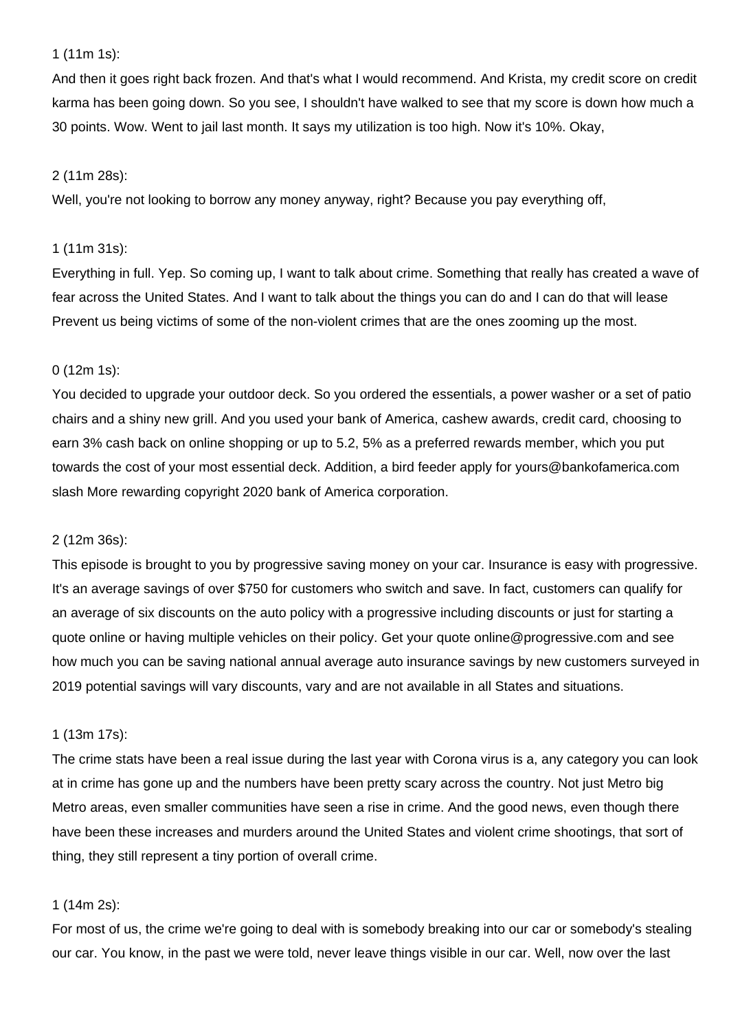# 1 (11m 1s):

And then it goes right back frozen. And that's what I would recommend. And Krista, my credit score on credit karma has been going down. So you see, I shouldn't have walked to see that my score is down how much a 30 points. Wow. Went to jail last month. It says my utilization is too high. Now it's 10%. Okay,

### 2 (11m 28s):

Well, you're not looking to borrow any money anyway, right? Because you pay everything off,

## 1 (11m 31s):

Everything in full. Yep. So coming up, I want to talk about crime. Something that really has created a wave of fear across the United States. And I want to talk about the things you can do and I can do that will lease Prevent us being victims of some of the non-violent crimes that are the ones zooming up the most.

## 0 (12m 1s):

You decided to upgrade your outdoor deck. So you ordered the essentials, a power washer or a set of patio chairs and a shiny new grill. And you used your bank of America, cashew awards, credit card, choosing to earn 3% cash back on online shopping or up to 5.2, 5% as a preferred rewards member, which you put towards the cost of your most essential deck. Addition, a bird feeder apply for yours@bankofamerica.com slash More rewarding copyright 2020 bank of America corporation.

### 2 (12m 36s):

This episode is brought to you by progressive saving money on your car. Insurance is easy with progressive. It's an average savings of over \$750 for customers who switch and save. In fact, customers can qualify for an average of six discounts on the auto policy with a progressive including discounts or just for starting a quote online or having multiple vehicles on their policy. Get your quote online@progressive.com and see how much you can be saving national annual average auto insurance savings by new customers surveyed in 2019 potential savings will vary discounts, vary and are not available in all States and situations.

## 1 (13m 17s):

The crime stats have been a real issue during the last year with Corona virus is a, any category you can look at in crime has gone up and the numbers have been pretty scary across the country. Not just Metro big Metro areas, even smaller communities have seen a rise in crime. And the good news, even though there have been these increases and murders around the United States and violent crime shootings, that sort of thing, they still represent a tiny portion of overall crime.

## 1 (14m 2s):

For most of us, the crime we're going to deal with is somebody breaking into our car or somebody's stealing our car. You know, in the past we were told, never leave things visible in our car. Well, now over the last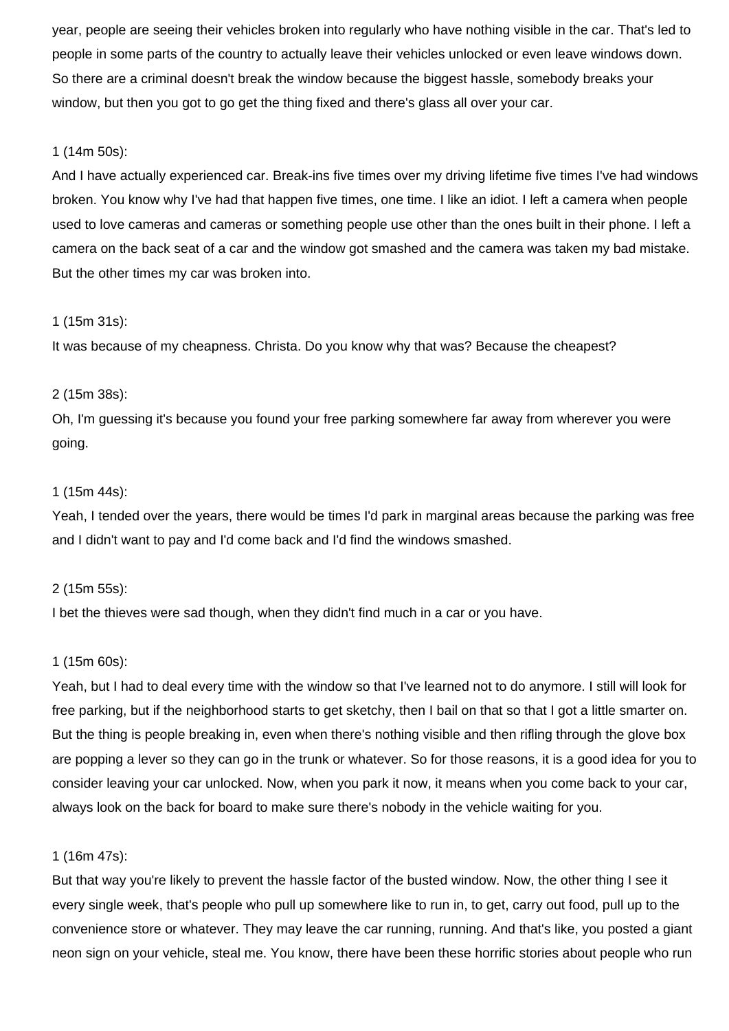year, people are seeing their vehicles broken into regularly who have nothing visible in the car. That's led to people in some parts of the country to actually leave their vehicles unlocked or even leave windows down. So there are a criminal doesn't break the window because the biggest hassle, somebody breaks your window, but then you got to go get the thing fixed and there's glass all over your car.

# 1 (14m 50s):

And I have actually experienced car. Break-ins five times over my driving lifetime five times I've had windows broken. You know why I've had that happen five times, one time. I like an idiot. I left a camera when people used to love cameras and cameras or something people use other than the ones built in their phone. I left a camera on the back seat of a car and the window got smashed and the camera was taken my bad mistake. But the other times my car was broken into.

# 1 (15m 31s):

It was because of my cheapness. Christa. Do you know why that was? Because the cheapest?

# 2 (15m 38s):

Oh, I'm guessing it's because you found your free parking somewhere far away from wherever you were going.

# 1 (15m 44s):

Yeah, I tended over the years, there would be times I'd park in marginal areas because the parking was free and I didn't want to pay and I'd come back and I'd find the windows smashed.

# 2 (15m 55s):

I bet the thieves were sad though, when they didn't find much in a car or you have.

# 1 (15m 60s):

Yeah, but I had to deal every time with the window so that I've learned not to do anymore. I still will look for free parking, but if the neighborhood starts to get sketchy, then I bail on that so that I got a little smarter on. But the thing is people breaking in, even when there's nothing visible and then rifling through the glove box are popping a lever so they can go in the trunk or whatever. So for those reasons, it is a good idea for you to consider leaving your car unlocked. Now, when you park it now, it means when you come back to your car, always look on the back for board to make sure there's nobody in the vehicle waiting for you.

# 1 (16m 47s):

But that way you're likely to prevent the hassle factor of the busted window. Now, the other thing I see it every single week, that's people who pull up somewhere like to run in, to get, carry out food, pull up to the convenience store or whatever. They may leave the car running, running. And that's like, you posted a giant neon sign on your vehicle, steal me. You know, there have been these horrific stories about people who run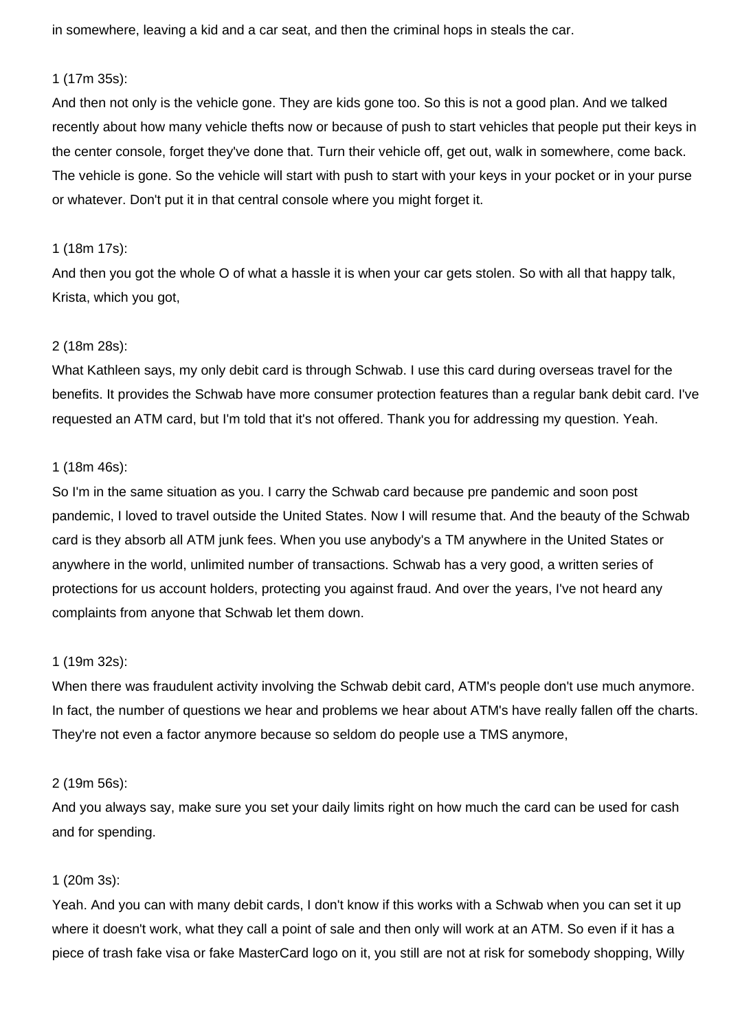in somewhere, leaving a kid and a car seat, and then the criminal hops in steals the car.

### 1 (17m 35s):

And then not only is the vehicle gone. They are kids gone too. So this is not a good plan. And we talked recently about how many vehicle thefts now or because of push to start vehicles that people put their keys in the center console, forget they've done that. Turn their vehicle off, get out, walk in somewhere, come back. The vehicle is gone. So the vehicle will start with push to start with your keys in your pocket or in your purse or whatever. Don't put it in that central console where you might forget it.

# 1 (18m 17s):

And then you got the whole O of what a hassle it is when your car gets stolen. So with all that happy talk, Krista, which you got,

# 2 (18m 28s):

What Kathleen says, my only debit card is through Schwab. I use this card during overseas travel for the benefits. It provides the Schwab have more consumer protection features than a regular bank debit card. I've requested an ATM card, but I'm told that it's not offered. Thank you for addressing my question. Yeah.

# 1 (18m 46s):

So I'm in the same situation as you. I carry the Schwab card because pre pandemic and soon post pandemic, I loved to travel outside the United States. Now I will resume that. And the beauty of the Schwab card is they absorb all ATM junk fees. When you use anybody's a TM anywhere in the United States or anywhere in the world, unlimited number of transactions. Schwab has a very good, a written series of protections for us account holders, protecting you against fraud. And over the years, I've not heard any complaints from anyone that Schwab let them down.

# 1 (19m 32s):

When there was fraudulent activity involving the Schwab debit card, ATM's people don't use much anymore. In fact, the number of questions we hear and problems we hear about ATM's have really fallen off the charts. They're not even a factor anymore because so seldom do people use a TMS anymore,

# 2 (19m 56s):

And you always say, make sure you set your daily limits right on how much the card can be used for cash and for spending.

# 1 (20m 3s):

Yeah. And you can with many debit cards, I don't know if this works with a Schwab when you can set it up where it doesn't work, what they call a point of sale and then only will work at an ATM. So even if it has a piece of trash fake visa or fake MasterCard logo on it, you still are not at risk for somebody shopping, Willy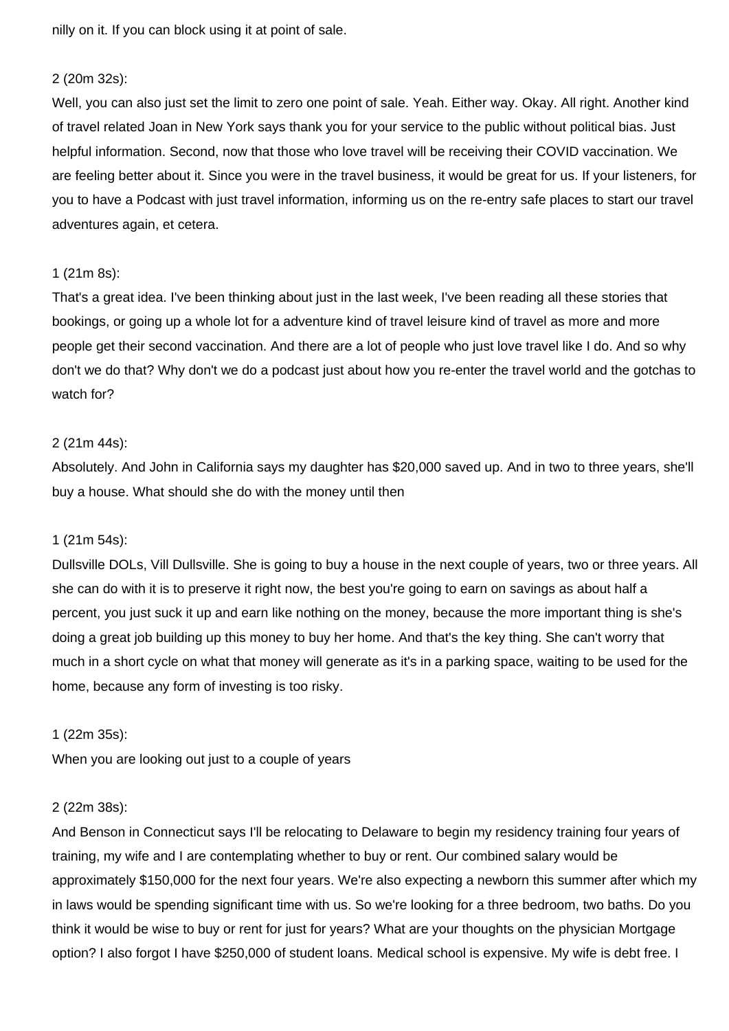nilly on it. If you can block using it at point of sale.

#### 2 (20m 32s):

Well, you can also just set the limit to zero one point of sale. Yeah. Either way. Okay. All right. Another kind of travel related Joan in New York says thank you for your service to the public without political bias. Just helpful information. Second, now that those who love travel will be receiving their COVID vaccination. We are feeling better about it. Since you were in the travel business, it would be great for us. If your listeners, for you to have a Podcast with just travel information, informing us on the re-entry safe places to start our travel adventures again, et cetera.

### 1 (21m 8s):

That's a great idea. I've been thinking about just in the last week, I've been reading all these stories that bookings, or going up a whole lot for a adventure kind of travel leisure kind of travel as more and more people get their second vaccination. And there are a lot of people who just love travel like I do. And so why don't we do that? Why don't we do a podcast just about how you re-enter the travel world and the gotchas to watch for?

### 2 (21m 44s):

Absolutely. And John in California says my daughter has \$20,000 saved up. And in two to three years, she'll buy a house. What should she do with the money until then

### 1 (21m 54s):

Dullsville DOLs, Vill Dullsville. She is going to buy a house in the next couple of years, two or three years. All she can do with it is to preserve it right now, the best you're going to earn on savings as about half a percent, you just suck it up and earn like nothing on the money, because the more important thing is she's doing a great job building up this money to buy her home. And that's the key thing. She can't worry that much in a short cycle on what that money will generate as it's in a parking space, waiting to be used for the home, because any form of investing is too risky.

### 1 (22m 35s):

When you are looking out just to a couple of years

### 2 (22m 38s):

And Benson in Connecticut says I'll be relocating to Delaware to begin my residency training four years of training, my wife and I are contemplating whether to buy or rent. Our combined salary would be approximately \$150,000 for the next four years. We're also expecting a newborn this summer after which my in laws would be spending significant time with us. So we're looking for a three bedroom, two baths. Do you think it would be wise to buy or rent for just for years? What are your thoughts on the physician Mortgage option? I also forgot I have \$250,000 of student loans. Medical school is expensive. My wife is debt free. I